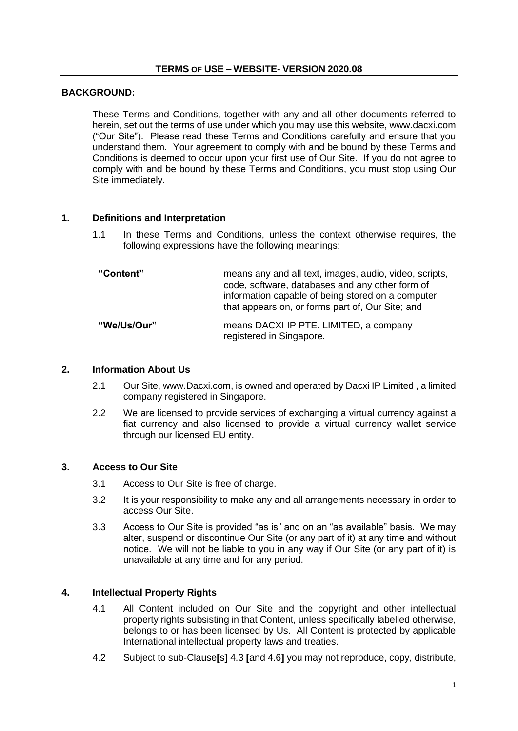## **TERMS OF USE – WEBSITE- VERSION 2020.08**

## **BACKGROUND:**

These Terms and Conditions, together with any and all other documents referred to herein, set out the terms of use under which you may use this website, www.dacxi.com ("Our Site"). Please read these Terms and Conditions carefully and ensure that you understand them. Your agreement to comply with and be bound by these Terms and Conditions is deemed to occur upon your first use of Our Site. If you do not agree to comply with and be bound by these Terms and Conditions, you must stop using Our Site immediately.

### **1. Definitions and Interpretation**

1.1 In these Terms and Conditions, unless the context otherwise requires, the following expressions have the following meanings:

| "Content"   | means any and all text, images, audio, video, scripts,<br>code, software, databases and any other form of<br>information capable of being stored on a computer<br>that appears on, or forms part of, Our Site; and |
|-------------|--------------------------------------------------------------------------------------------------------------------------------------------------------------------------------------------------------------------|
| "We/Us/Our" | means DACXI IP PTE. LIMITED, a company<br>registered in Singapore.                                                                                                                                                 |

### **2. Information About Us**

- 2.1 Our Site, www.Dacxi.com, is owned and operated by Dacxi IP Limited , a limited company registered in Singapore.
- 2.2 We are licensed to provide services of exchanging a virtual currency against a fiat currency and also licensed to provide a virtual currency wallet service through our licensed EU entity.

## **3. Access to Our Site**

- 3.1 Access to Our Site is free of charge.
- 3.2 It is your responsibility to make any and all arrangements necessary in order to access Our Site.
- 3.3 Access to Our Site is provided "as is" and on an "as available" basis. We may alter, suspend or discontinue Our Site (or any part of it) at any time and without notice. We will not be liable to you in any way if Our Site (or any part of it) is unavailable at any time and for any period.

## **4. Intellectual Property Rights**

- 4.1 All Content included on Our Site and the copyright and other intellectual property rights subsisting in that Content, unless specifically labelled otherwise, belongs to or has been licensed by Us. All Content is protected by applicable International intellectual property laws and treaties.
- 4.2 Subject to sub-Clause**[**s**]** 4.3 **[**and 4.6**]** you may not reproduce, copy, distribute,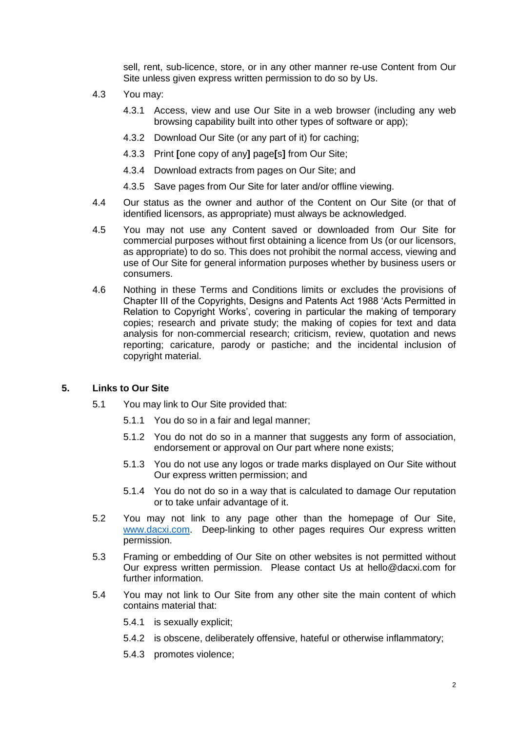sell, rent, sub-licence, store, or in any other manner re-use Content from Our Site unless given express written permission to do so by Us.

- 4.3 You may:
	- 4.3.1 Access, view and use Our Site in a web browser (including any web browsing capability built into other types of software or app);
	- 4.3.2 Download Our Site (or any part of it) for caching;
	- 4.3.3 Print **[**one copy of any**]** page**[**s**]** from Our Site;
	- 4.3.4 Download extracts from pages on Our Site; and
	- 4.3.5 Save pages from Our Site for later and/or offline viewing.
- 4.4 Our status as the owner and author of the Content on Our Site (or that of identified licensors, as appropriate) must always be acknowledged.
- 4.5 You may not use any Content saved or downloaded from Our Site for commercial purposes without first obtaining a licence from Us (or our licensors, as appropriate) to do so. This does not prohibit the normal access, viewing and use of Our Site for general information purposes whether by business users or consumers.
- 4.6 Nothing in these Terms and Conditions limits or excludes the provisions of Chapter III of the Copyrights, Designs and Patents Act 1988 'Acts Permitted in Relation to Copyright Works', covering in particular the making of temporary copies; research and private study; the making of copies for text and data analysis for non-commercial research; criticism, review, quotation and news reporting; caricature, parody or pastiche; and the incidental inclusion of copyright material.

### **5. Links to Our Site**

- 5.1 You may link to Our Site provided that:
	- 5.1.1 You do so in a fair and legal manner;
	- 5.1.2 You do not do so in a manner that suggests any form of association, endorsement or approval on Our part where none exists;
	- 5.1.3 You do not use any logos or trade marks displayed on Our Site without Our express written permission; and
	- 5.1.4 You do not do so in a way that is calculated to damage Our reputation or to take unfair advantage of it.
- 5.2 You may not link to any page other than the homepage of Our Site, [www.dacxi.com.](http://www.dacxi.com/) Deep-linking to other pages requires Our express written permission.
- 5.3 Framing or embedding of Our Site on other websites is not permitted without Our express written permission. Please contact Us at hello@dacxi.com for further information.
- 5.4 You may not link to Our Site from any other site the main content of which contains material that:
	- 5.4.1 is sexually explicit;
	- 5.4.2 is obscene, deliberately offensive, hateful or otherwise inflammatory;
	- 5.4.3 promotes violence;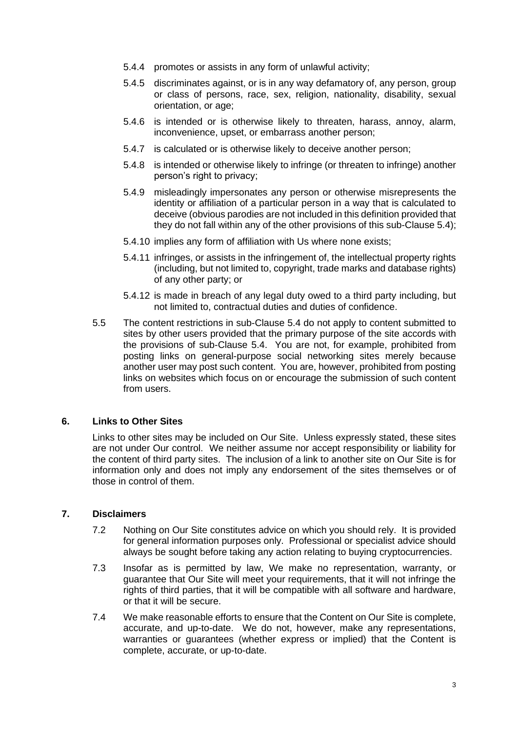- 5.4.4 promotes or assists in any form of unlawful activity;
- 5.4.5 discriminates against, or is in any way defamatory of, any person, group or class of persons, race, sex, religion, nationality, disability, sexual orientation, or age;
- 5.4.6 is intended or is otherwise likely to threaten, harass, annoy, alarm, inconvenience, upset, or embarrass another person;
- 5.4.7 is calculated or is otherwise likely to deceive another person;
- 5.4.8 is intended or otherwise likely to infringe (or threaten to infringe) another person's right to privacy;
- 5.4.9 misleadingly impersonates any person or otherwise misrepresents the identity or affiliation of a particular person in a way that is calculated to deceive (obvious parodies are not included in this definition provided that they do not fall within any of the other provisions of this sub-Clause 5.4);
- 5.4.10 implies any form of affiliation with Us where none exists;
- 5.4.11 infringes, or assists in the infringement of, the intellectual property rights (including, but not limited to, copyright, trade marks and database rights) of any other party; or
- 5.4.12 is made in breach of any legal duty owed to a third party including, but not limited to, contractual duties and duties of confidence.
- 5.5 The content restrictions in sub-Clause 5.4 do not apply to content submitted to sites by other users provided that the primary purpose of the site accords with the provisions of sub-Clause 5.4. You are not, for example, prohibited from posting links on general-purpose social networking sites merely because another user may post such content. You are, however, prohibited from posting links on websites which focus on or encourage the submission of such content from users.

## **6. Links to Other Sites**

Links to other sites may be included on Our Site. Unless expressly stated, these sites are not under Our control. We neither assume nor accept responsibility or liability for the content of third party sites. The inclusion of a link to another site on Our Site is for information only and does not imply any endorsement of the sites themselves or of those in control of them.

## **7. Disclaimers**

- 7.2 Nothing on Our Site constitutes advice on which you should rely. It is provided for general information purposes only. Professional or specialist advice should always be sought before taking any action relating to buying cryptocurrencies.
- 7.3 Insofar as is permitted by law, We make no representation, warranty, or guarantee that Our Site will meet your requirements, that it will not infringe the rights of third parties, that it will be compatible with all software and hardware, or that it will be secure.
- 7.4 We make reasonable efforts to ensure that the Content on Our Site is complete, accurate, and up-to-date. We do not, however, make any representations, warranties or guarantees (whether express or implied) that the Content is complete, accurate, or up-to-date.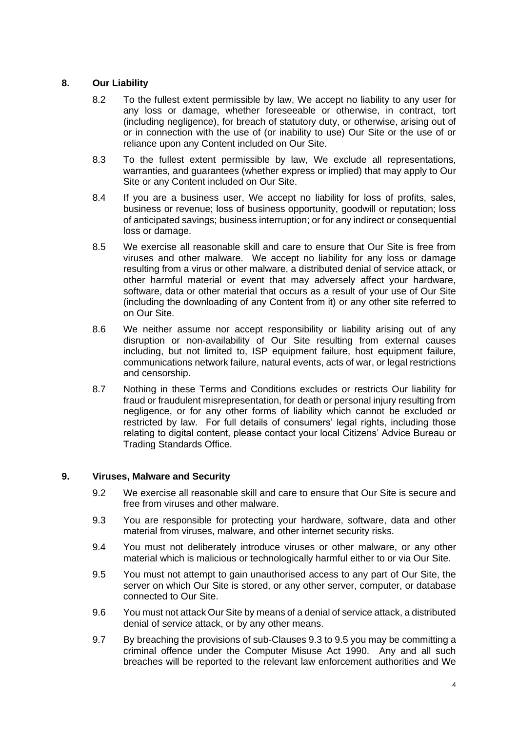## **8. Our Liability**

- 8.2 To the fullest extent permissible by law, We accept no liability to any user for any loss or damage, whether foreseeable or otherwise, in contract, tort (including negligence), for breach of statutory duty, or otherwise, arising out of or in connection with the use of (or inability to use) Our Site or the use of or reliance upon any Content included on Our Site.
- 8.3 To the fullest extent permissible by law, We exclude all representations, warranties, and guarantees (whether express or implied) that may apply to Our Site or any Content included on Our Site.
- 8.4 If you are a business user, We accept no liability for loss of profits, sales, business or revenue; loss of business opportunity, goodwill or reputation; loss of anticipated savings; business interruption; or for any indirect or consequential loss or damage.
- 8.5 We exercise all reasonable skill and care to ensure that Our Site is free from viruses and other malware. We accept no liability for any loss or damage resulting from a virus or other malware, a distributed denial of service attack, or other harmful material or event that may adversely affect your hardware, software, data or other material that occurs as a result of your use of Our Site (including the downloading of any Content from it) or any other site referred to on Our Site.
- 8.6 We neither assume nor accept responsibility or liability arising out of any disruption or non-availability of Our Site resulting from external causes including, but not limited to, ISP equipment failure, host equipment failure, communications network failure, natural events, acts of war, or legal restrictions and censorship.
- 8.7 Nothing in these Terms and Conditions excludes or restricts Our liability for fraud or fraudulent misrepresentation, for death or personal injury resulting from negligence, or for any other forms of liability which cannot be excluded or restricted by law. For full details of consumers' legal rights, including those relating to digital content, please contact your local Citizens' Advice Bureau or Trading Standards Office.

## **9. Viruses, Malware and Security**

- 9.2 We exercise all reasonable skill and care to ensure that Our Site is secure and free from viruses and other malware.
- 9.3 You are responsible for protecting your hardware, software, data and other material from viruses, malware, and other internet security risks.
- 9.4 You must not deliberately introduce viruses or other malware, or any other material which is malicious or technologically harmful either to or via Our Site.
- 9.5 You must not attempt to gain unauthorised access to any part of Our Site, the server on which Our Site is stored, or any other server, computer, or database connected to Our Site.
- 9.6 You must not attack Our Site by means of a denial of service attack, a distributed denial of service attack, or by any other means.
- 9.7 By breaching the provisions of sub-Clauses 9.3 to 9.5 you may be committing a criminal offence under the Computer Misuse Act 1990. Any and all such breaches will be reported to the relevant law enforcement authorities and We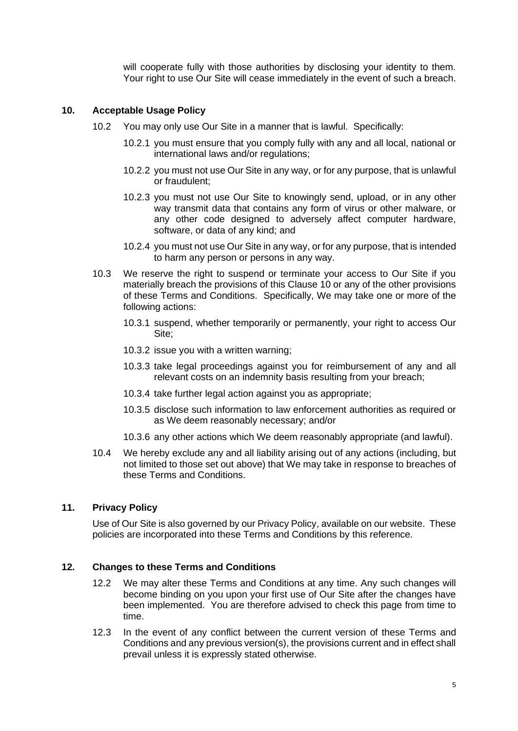will cooperate fully with those authorities by disclosing your identity to them. Your right to use Our Site will cease immediately in the event of such a breach.

## **10. Acceptable Usage Policy**

- 10.2 You may only use Our Site in a manner that is lawful. Specifically:
	- 10.2.1 you must ensure that you comply fully with any and all local, national or international laws and/or regulations;
	- 10.2.2 you must not use Our Site in any way, or for any purpose, that is unlawful or fraudulent;
	- 10.2.3 you must not use Our Site to knowingly send, upload, or in any other way transmit data that contains any form of virus or other malware, or any other code designed to adversely affect computer hardware, software, or data of any kind; and
	- 10.2.4 you must not use Our Site in any way, or for any purpose, that is intended to harm any person or persons in any way.
- 10.3 We reserve the right to suspend or terminate your access to Our Site if you materially breach the provisions of this Clause 10 or any of the other provisions of these Terms and Conditions. Specifically, We may take one or more of the following actions:
	- 10.3.1 suspend, whether temporarily or permanently, your right to access Our Site;
	- 10.3.2 issue you with a written warning;
	- 10.3.3 take legal proceedings against you for reimbursement of any and all relevant costs on an indemnity basis resulting from your breach;
	- 10.3.4 take further legal action against you as appropriate;
	- 10.3.5 disclose such information to law enforcement authorities as required or as We deem reasonably necessary; and/or
	- 10.3.6 any other actions which We deem reasonably appropriate (and lawful).
- 10.4 We hereby exclude any and all liability arising out of any actions (including, but not limited to those set out above) that We may take in response to breaches of these Terms and Conditions.

## **11. Privacy Policy**

Use of Our Site is also governed by our Privacy Policy, available on our website. These policies are incorporated into these Terms and Conditions by this reference.

## **12. Changes to these Terms and Conditions**

- 12.2 We may alter these Terms and Conditions at any time. Any such changes will become binding on you upon your first use of Our Site after the changes have been implemented. You are therefore advised to check this page from time to time.
- 12.3 In the event of any conflict between the current version of these Terms and Conditions and any previous version(s), the provisions current and in effect shall prevail unless it is expressly stated otherwise.